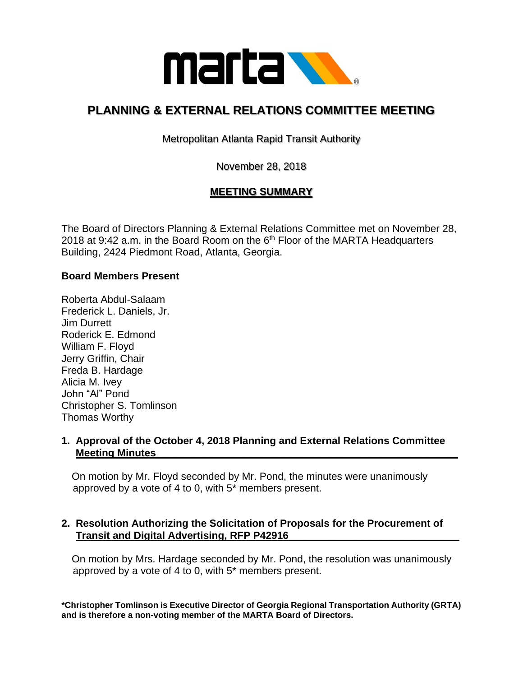

# **PLANNING & EXTERNAL RELATIONS COMMITTEE MEETING**

Metropolitan Atlanta Rapid Transit Authority

November 28, 2018

# **MEETING SUMMARY**

The Board of Directors Planning & External Relations Committee met on November 28, 2018 at 9:42 a.m. in the Board Room on the  $6<sup>th</sup>$  Floor of the MARTA Headquarters Building, 2424 Piedmont Road, Atlanta, Georgia.

#### **Board Members Present**

Roberta Abdul-Salaam Frederick L. Daniels, Jr. Jim Durrett Roderick E. Edmond William F. Floyd Jerry Griffin, Chair Freda B. Hardage Alicia M. Ivey John "Al" Pond Christopher S. Tomlinson Thomas Worthy

## **1. Approval of the October 4, 2018 Planning and External Relations Committee Meeting Minutes\_\_\_\_\_\_\_\_\_\_\_\_\_\_\_\_\_\_\_\_\_\_\_\_\_\_\_\_\_\_\_\_\_\_\_\_\_\_\_\_\_\_\_\_\_\_\_\_\_\_\_\_\_**

 On motion by Mr. Floyd seconded by Mr. Pond, the minutes were unanimously approved by a vote of 4 to 0, with 5\* members present.

## **2. Resolution Authorizing the Solicitation of Proposals for the Procurement of Transit and Digital Advertising, RFP P42916**

 On motion by Mrs. Hardage seconded by Mr. Pond, the resolution was unanimously approved by a vote of 4 to 0, with 5\* members present.

**\*Christopher Tomlinson is Executive Director of Georgia Regional Transportation Authority (GRTA) and is therefore a non-voting member of the MARTA Board of Directors.**